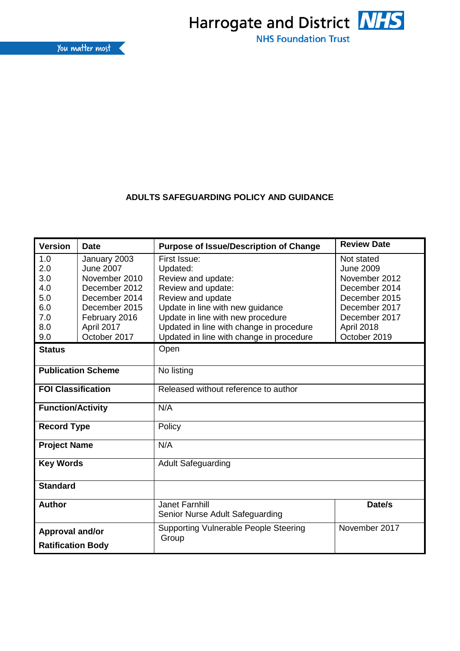

## **ADULTS SAFEGUARDING POLICY AND GUIDANCE**

| <b>Version</b><br><b>Date</b> |               | <b>Purpose of Issue/Description of Change</b>               | <b>Review Date</b> |  |  |
|-------------------------------|---------------|-------------------------------------------------------------|--------------------|--|--|
| 1.0<br>January 2003           |               | First Issue:                                                | Not stated         |  |  |
| <b>June 2007</b><br>2.0       |               | <b>June 2009</b><br>Updated:                                |                    |  |  |
| 3.0                           | November 2010 | November 2012<br>Review and update:                         |                    |  |  |
| 4.0                           | December 2012 | Review and update:<br>December 2014                         |                    |  |  |
| 5.0                           | December 2014 | Review and update<br>December 2015                          |                    |  |  |
| 6.0                           | December 2015 | Update in line with new guidance<br>December 2017           |                    |  |  |
| 7.0                           | February 2016 | Update in line with new procedure<br>December 2017          |                    |  |  |
| 8.0                           | April 2017    | Updated in line with change in procedure                    | April 2018         |  |  |
| 9.0                           | October 2017  | Updated in line with change in procedure                    | October 2019       |  |  |
| <b>Status</b>                 |               | Open                                                        |                    |  |  |
| <b>Publication Scheme</b>     |               | No listing                                                  |                    |  |  |
| <b>FOI Classification</b>     |               | Released without reference to author                        |                    |  |  |
| <b>Function/Activity</b>      |               | N/A                                                         |                    |  |  |
| <b>Record Type</b>            |               | Policy                                                      |                    |  |  |
| <b>Project Name</b>           |               | N/A                                                         |                    |  |  |
| <b>Key Words</b>              |               | <b>Adult Safeguarding</b>                                   |                    |  |  |
| <b>Standard</b>               |               |                                                             |                    |  |  |
| <b>Author</b>                 |               | Date/s<br>Janet Farnhill<br>Senior Nurse Adult Safeguarding |                    |  |  |
| Approval and/or               |               | <b>Supporting Vulnerable People Steering</b><br>Group       | November 2017      |  |  |
| <b>Ratification Body</b>      |               |                                                             |                    |  |  |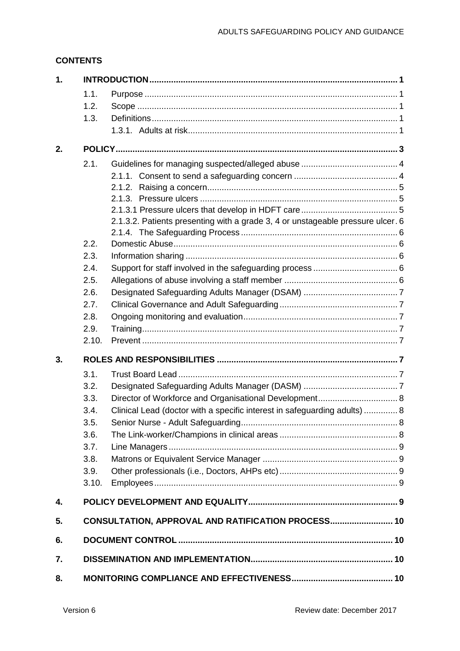## **CONTENTS**

| 1. |       |                                                                                 |  |
|----|-------|---------------------------------------------------------------------------------|--|
|    | 1.1.  |                                                                                 |  |
|    | 1.2.  |                                                                                 |  |
|    | 1.3.  |                                                                                 |  |
|    |       |                                                                                 |  |
| 2. |       |                                                                                 |  |
|    | 2.1.  |                                                                                 |  |
|    |       |                                                                                 |  |
|    |       |                                                                                 |  |
|    |       |                                                                                 |  |
|    |       |                                                                                 |  |
|    |       | 2.1.3.2. Patients presenting with a grade 3, 4 or unstageable pressure ulcer. 6 |  |
|    | 2.2.  |                                                                                 |  |
|    | 2.3.  |                                                                                 |  |
|    | 2.4.  |                                                                                 |  |
|    | 2.5.  |                                                                                 |  |
|    | 2.6.  |                                                                                 |  |
|    | 2.7.  |                                                                                 |  |
|    | 2.8.  |                                                                                 |  |
|    | 2.9.  |                                                                                 |  |
|    | 2.10. |                                                                                 |  |
| 3. |       |                                                                                 |  |
|    | 3.1.  |                                                                                 |  |
|    | 3.2.  |                                                                                 |  |
|    | 3.3.  | Director of Workforce and Organisational Development 8                          |  |
|    | 3.4.  | Clinical Lead (doctor with a specific interest in safeguarding adults)  8       |  |
|    | 3.5.  |                                                                                 |  |
|    | 3.6.  |                                                                                 |  |
|    | 3.7.  |                                                                                 |  |
|    | 3.8.  |                                                                                 |  |
|    | 3.9.  |                                                                                 |  |
|    | 3.10. |                                                                                 |  |
| 4. |       |                                                                                 |  |
| 5. |       | CONSULTATION, APPROVAL AND RATIFICATION PROCESS 10                              |  |
| 6. |       |                                                                                 |  |
| 7. |       |                                                                                 |  |
| 8. |       |                                                                                 |  |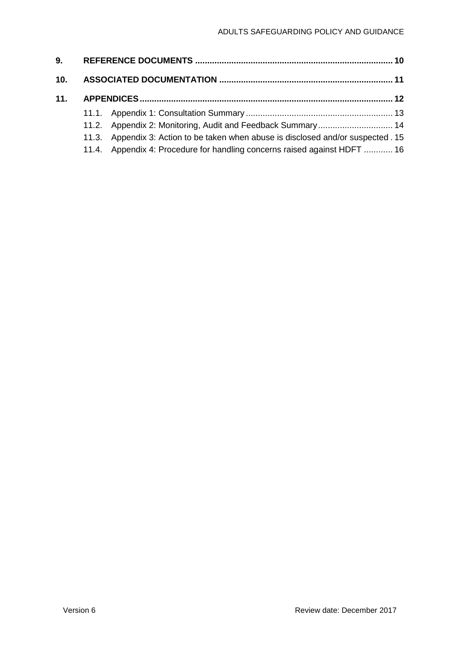| 10. |                                                                                    |  |
|-----|------------------------------------------------------------------------------------|--|
|     |                                                                                    |  |
|     |                                                                                    |  |
|     | 11.2. Appendix 2: Monitoring, Audit and Feedback Summary 14                        |  |
|     | 11.3. Appendix 3: Action to be taken when abuse is disclosed and/or suspected . 15 |  |
|     | 11.4. Appendix 4: Procedure for handling concerns raised against HDFT  16          |  |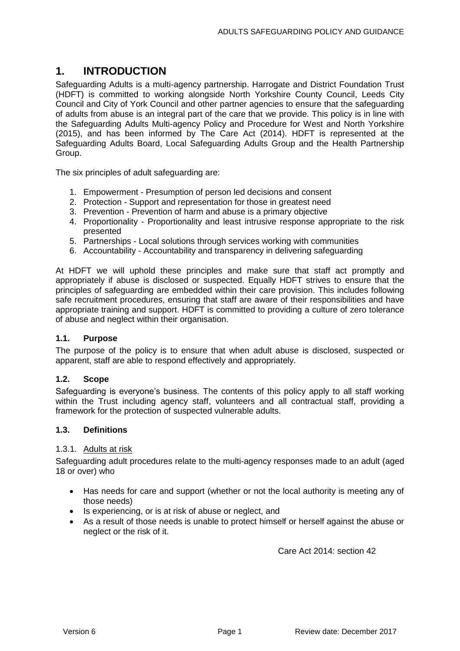## <span id="page-3-0"></span>**1. INTRODUCTION**

Safeguarding Adults is a multi-agency partnership. Harrogate and District Foundation Trust (HDFT) is committed to working alongside North Yorkshire County Council, Leeds City Council and City of York Council and other partner agencies to ensure that the safeguarding of adults from abuse is an integral part of the care that we provide. This policy is in line with the Safeguarding Adults Multi-agency Policy and Procedure for West and North Yorkshire (2015), and has been informed by The Care Act (2014). HDFT is represented at the Safeguarding Adults Board, Local Safeguarding Adults Group and the Health Partnership Group.

The six principles of adult safeguarding are:

- 1. Empowerment Presumption of person led decisions and consent
- 2. Protection Support and representation for those in greatest need
- 3. Prevention Prevention of harm and abuse is a primary objective
- 4. Proportionality Proportionality and least intrusive response appropriate to the risk presented
- 5. Partnerships Local solutions through services working with communities
- 6. Accountability Accountability and transparency in delivering safeguarding

At HDFT we will uphold these principles and make sure that staff act promptly and appropriately if abuse is disclosed or suspected. Equally HDFT strives to ensure that the principles of safeguarding are embedded within their care provision. This includes following safe recruitment procedures, ensuring that staff are aware of their responsibilities and have appropriate training and support. HDFT is committed to providing a culture of zero tolerance of abuse and neglect within their organisation.

### <span id="page-3-1"></span>**1.1. Purpose**

The purpose of the policy is to ensure that when adult abuse is disclosed, suspected or apparent, staff are able to respond effectively and appropriately.

#### <span id="page-3-2"></span>**1.2. Scope**

Safeguarding is everyone's business. The contents of this policy apply to all staff working within the Trust including agency staff, volunteers and all contractual staff, providing a framework for the protection of suspected vulnerable adults.

#### <span id="page-3-3"></span>**1.3. Definitions**

#### <span id="page-3-4"></span>1.3.1. Adults at risk

Safeguarding adult procedures relate to the multi-agency responses made to an adult (aged 18 or over) who

- Has needs for care and support (whether or not the local authority is meeting any of those needs)
- Is experiencing, or is at risk of abuse or neglect, and
- As a result of those needs is unable to protect himself or herself against the abuse or neglect or the risk of it.

Care Act 2014: section 42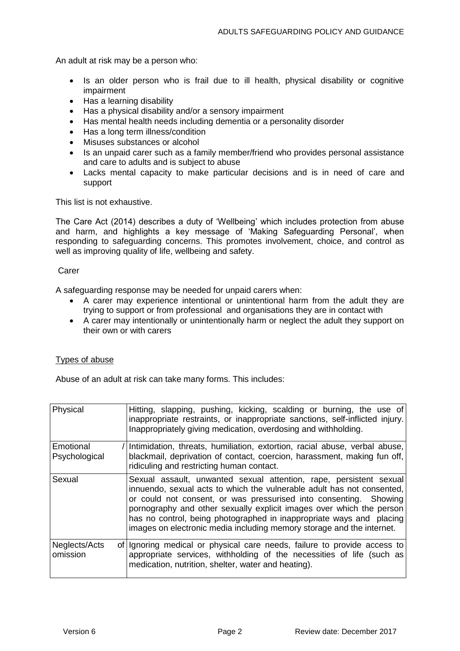An adult at risk may be a person who:

- Is an older person who is frail due to ill health, physical disability or cognitive impairment
- Has a learning disability
- Has a physical disability and/or a sensory impairment
- Has mental health needs including dementia or a personality disorder
- Has a long term illness/condition
- Misuses substances or alcohol
- Is an unpaid carer such as a family member/friend who provides personal assistance and care to adults and is subject to abuse
- Lacks mental capacity to make particular decisions and is in need of care and support

This list is not exhaustive.

The Care Act (2014) describes a duty of 'Wellbeing' which includes protection from abuse and harm, and highlights a key message of 'Making Safeguarding Personal', when responding to safeguarding concerns. This promotes involvement, choice, and control as well as improving quality of life, wellbeing and safety.

#### Carer

A safeguarding response may be needed for unpaid carers when:

- A carer may experience intentional or unintentional harm from the adult they are trying to support or from professional and organisations they are in contact with
- A carer may intentionally or unintentionally harm or neglect the adult they support on their own or with carers

### Types of abuse

Abuse of an adult at risk can take many forms. This includes:

| Physical                   | Hitting, slapping, pushing, kicking, scalding or burning, the use of<br>inappropriate restraints, or inappropriate sanctions, self-inflicted injury.<br>Inappropriately giving medication, overdosing and withholding.                                                                                                                                                                                                                     |
|----------------------------|--------------------------------------------------------------------------------------------------------------------------------------------------------------------------------------------------------------------------------------------------------------------------------------------------------------------------------------------------------------------------------------------------------------------------------------------|
| Emotional<br>Psychological | Intimidation, threats, humiliation, extortion, racial abuse, verbal abuse,<br>blackmail, deprivation of contact, coercion, harassment, making fun off,<br>ridiculing and restricting human contact.                                                                                                                                                                                                                                        |
| Sexual                     | Sexual assault, unwanted sexual attention, rape, persistent sexual<br>innuendo, sexual acts to which the vulnerable adult has not consented,<br>or could not consent, or was pressurised into consenting. Showing<br>pornography and other sexually explicit images over which the person<br>has no control, being photographed in inappropriate ways and placing<br>images on electronic media including memory storage and the internet. |
| Neglects/Acts<br>omission  | of Ignoring medical or physical care needs, failure to provide access to<br>appropriate services, withholding of the necessities of life (such as<br>medication, nutrition, shelter, water and heating).                                                                                                                                                                                                                                   |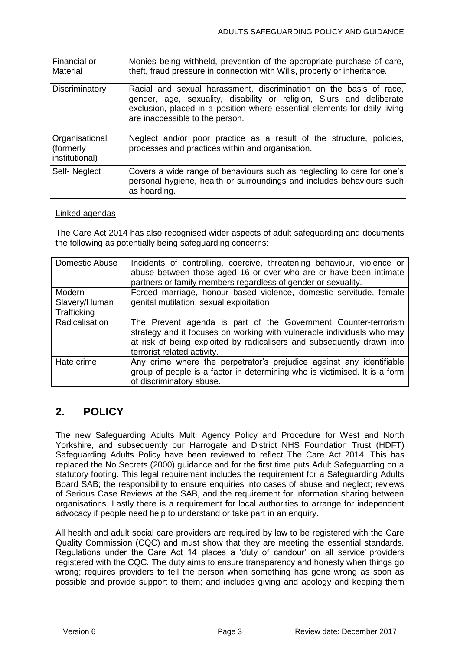| Financial or<br>Material                      | Monies being withheld, prevention of the appropriate purchase of care,<br>theft, fraud pressure in connection with Wills, property or inheritance.                                                                                                         |
|-----------------------------------------------|------------------------------------------------------------------------------------------------------------------------------------------------------------------------------------------------------------------------------------------------------------|
| Discriminatory                                | Racial and sexual harassment, discrimination on the basis of race,<br>gender, age, sexuality, disability or religion, Slurs and deliberate<br>exclusion, placed in a position where essential elements for daily living<br>are inaccessible to the person. |
| Organisational<br>(formerly<br>institutional) | Neglect and/or poor practice as a result of the structure, policies,<br>processes and practices within and organisation.                                                                                                                                   |
| Self-Neglect                                  | Covers a wide range of behaviours such as neglecting to care for one's<br>personal hygiene, health or surroundings and includes behaviours such<br>as hoarding.                                                                                            |

#### Linked agendas

The Care Act 2014 has also recognised wider aspects of adult safeguarding and documents the following as potentially being safeguarding concerns:

| Domestic Abuse                         | Incidents of controlling, coercive, threatening behaviour, violence or<br>abuse between those aged 16 or over who are or have been intimate<br>partners or family members regardless of gender or sexuality.                                      |
|----------------------------------------|---------------------------------------------------------------------------------------------------------------------------------------------------------------------------------------------------------------------------------------------------|
| Modern<br>Slavery/Human<br>Trafficking | Forced marriage, honour based violence, domestic servitude, female<br>genital mutilation, sexual exploitation                                                                                                                                     |
| Radicalisation                         | The Prevent agenda is part of the Government Counter-terrorism<br>strategy and it focuses on working with vulnerable individuals who may<br>at risk of being exploited by radicalisers and subsequently drawn into<br>terrorist related activity. |
| Hate crime                             | Any crime where the perpetrator's prejudice against any identifiable<br>group of people is a factor in determining who is victimised. It is a form<br>of discriminatory abuse.                                                                    |

# <span id="page-5-0"></span>**2. POLICY**

The new Safeguarding Adults Multi Agency Policy and Procedure for West and North Yorkshire, and subsequently our Harrogate and District NHS Foundation Trust (HDFT) Safeguarding Adults Policy have been reviewed to reflect The Care Act 2014. This has replaced the No Secrets (2000) guidance and for the first time puts Adult Safeguarding on a statutory footing. This legal requirement includes the requirement for a Safeguarding Adults Board SAB; the responsibility to ensure enquiries into cases of abuse and neglect; reviews of Serious Case Reviews at the SAB, and the requirement for information sharing between organisations. Lastly there is a requirement for local authorities to arrange for independent advocacy if people need help to understand or take part in an enquiry.

All health and adult social care providers are required by law to be registered with the Care Quality Commission (CQC) and must show that they are meeting the essential standards. Regulations under the Care Act 14 places a 'duty of candour' on all service providers registered with the CQC. The duty aims to ensure transparency and honesty when things go wrong; requires providers to tell the person when something has gone wrong as soon as possible and provide support to them; and includes giving and apology and keeping them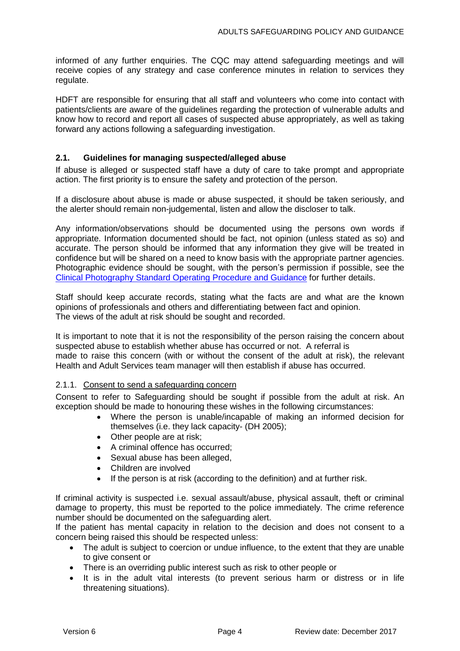informed of any further enquiries. The CQC may attend safeguarding meetings and will receive copies of any strategy and case conference minutes in relation to services they regulate.

HDFT are responsible for ensuring that all staff and volunteers who come into contact with patients/clients are aware of the guidelines regarding the protection of vulnerable adults and know how to record and report all cases of suspected abuse appropriately, as well as taking forward any actions following a safeguarding investigation.

### <span id="page-6-0"></span>**2.1. Guidelines for managing suspected/alleged abuse**

If abuse is alleged or suspected staff have a duty of care to take prompt and appropriate action. The first priority is to ensure the safety and protection of the person.

If a disclosure about abuse is made or abuse suspected, it should be taken seriously, and the alerter should remain non-judgemental, listen and allow the discloser to talk.

Any information/observations should be documented using the persons own words if appropriate. Information documented should be fact, not opinion (unless stated as so) and accurate. The person should be informed that any information they give will be treated in confidence but will be shared on a need to know basis with the appropriate partner agencies. Photographic evidence should be sought, with the person's permission if possible, see the [Clinical Photography Standard Operating Procedure and Guidance](http://nww.hdft.nhs.uk/EasysiteWeb/getresource.axd?AssetID=16526&servicetype=Attachment) for further details.

Staff should keep accurate records, stating what the facts are and what are the known opinions of professionals and others and differentiating between fact and opinion. The views of the adult at risk should be sought and recorded.

It is important to note that it is not the responsibility of the person raising the concern about suspected abuse to establish whether abuse has occurred or not. A referral is made to raise this concern (with or without the consent of the adult at risk), the relevant Health and Adult Services team manager will then establish if abuse has occurred.

#### <span id="page-6-1"></span>2.1.1. Consent to send a safeguarding concern

Consent to refer to Safeguarding should be sought if possible from the adult at risk. An exception should be made to honouring these wishes in the following circumstances:

- Where the person is unable/incapable of making an informed decision for themselves (i.e. they lack capacity- (DH 2005);
- Other people are at risk;
- A criminal offence has occurred;
- Sexual abuse has been alleged,
- Children are involved
- If the person is at risk (according to the definition) and at further risk.

If criminal activity is suspected i.e. sexual assault/abuse, physical assault, theft or criminal damage to property, this must be reported to the police immediately. The crime reference number should be documented on the safeguarding alert.

If the patient has mental capacity in relation to the decision and does not consent to a concern being raised this should be respected unless:

- The adult is subject to coercion or undue influence, to the extent that they are unable to give consent or
- There is an overriding public interest such as risk to other people or
- It is in the adult vital interests (to prevent serious harm or distress or in life threatening situations).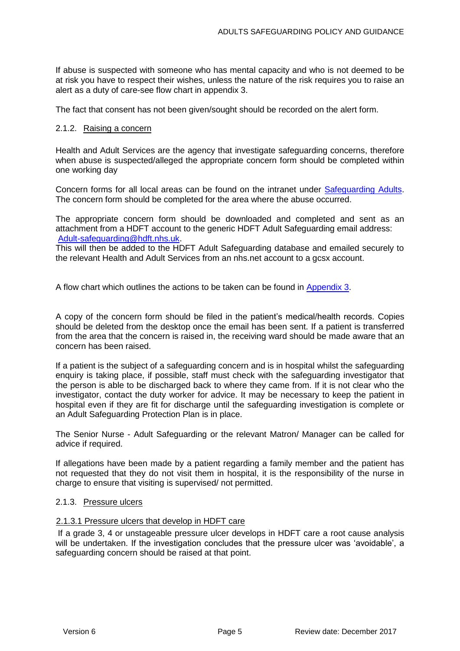If abuse is suspected with someone who has mental capacity and who is not deemed to be at risk you have to respect their wishes, unless the nature of the risk requires you to raise an alert as a duty of care-see flow chart in appendix 3.

<span id="page-7-0"></span>The fact that consent has not been given/sought should be recorded on the alert form.

#### 2.1.2. Raising a concern

Health and Adult Services are the agency that investigate safeguarding concerns, therefore when abuse is suspected/alleged the appropriate concern form should be completed within one working day

Concern forms for all local areas can be found on the intranet under **Safeguarding Adults**. The concern form should be completed for the area where the abuse occurred.

The appropriate concern form should be downloaded and completed and sent as an attachment from a HDFT account to the generic HDFT Adult Safeguarding email address: [Adult-safeguarding@hdft.nhs.uk.](mailto:Adult-safeguarding@hdft.nhs.uk)

This will then be added to the HDFT Adult Safeguarding database and emailed securely to the relevant Health and Adult Services from an nhs.net account to a gcsx account.

A flow chart which outlines the actions to be taken can be found in [Appendix 3.](#page-16-1)

A copy of the concern form should be filed in the patient's medical/health records. Copies should be deleted from the desktop once the email has been sent. If a patient is transferred from the area that the concern is raised in, the receiving ward should be made aware that an concern has been raised.

If a patient is the subject of a safeguarding concern and is in hospital whilst the safeguarding enquiry is taking place, if possible, staff must check with the safeguarding investigator that the person is able to be discharged back to where they came from. If it is not clear who the investigator, contact the duty worker for advice. It may be necessary to keep the patient in hospital even if they are fit for discharge until the safeguarding investigation is complete or an Adult Safeguarding Protection Plan is in place.

The Senior Nurse - Adult Safeguarding or the relevant Matron/ Manager can be called for advice if required.

If allegations have been made by a patient regarding a family member and the patient has not requested that they do not visit them in hospital, it is the responsibility of the nurse in charge to ensure that visiting is supervised/ not permitted.

#### <span id="page-7-1"></span>2.1.3. Pressure ulcers

#### <span id="page-7-2"></span>2.1.3.1 Pressure ulcers that develop in HDFT care

If a grade 3, 4 or unstageable pressure ulcer develops in HDFT care a root cause analysis will be undertaken. If the investigation concludes that the pressure ulcer was 'avoidable', a safeguarding concern should be raised at that point.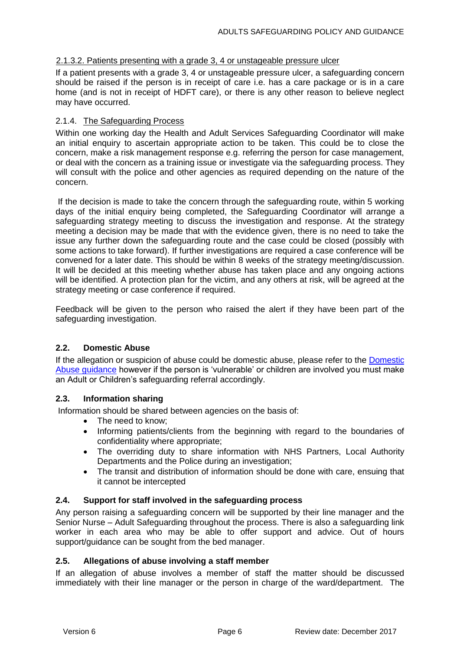#### <span id="page-8-0"></span>2.1.3.2. Patients presenting with a grade 3, 4 or unstageable pressure ulcer

If a patient presents with a grade 3, 4 or unstageable pressure ulcer, a safeguarding concern should be raised if the person is in receipt of care i.e. has a care package or is in a care home (and is not in receipt of HDFT care), or there is any other reason to believe neglect may have occurred.

### <span id="page-8-1"></span>2.1.4. The Safeguarding Process

Within one working day the Health and Adult Services Safeguarding Coordinator will make an initial enquiry to ascertain appropriate action to be taken. This could be to close the concern, make a risk management response e.g. referring the person for case management, or deal with the concern as a training issue or investigate via the safeguarding process. They will consult with the police and other agencies as required depending on the nature of the concern.

If the decision is made to take the concern through the safeguarding route, within 5 working days of the initial enquiry being completed, the Safeguarding Coordinator will arrange a safeguarding strategy meeting to discuss the investigation and response. At the strategy meeting a decision may be made that with the evidence given, there is no need to take the issue any further down the safeguarding route and the case could be closed (possibly with some actions to take forward). If further investigations are required a case conference will be convened for a later date. This should be within 8 weeks of the strategy meeting/discussion. It will be decided at this meeting whether abuse has taken place and any ongoing actions will be identified. A protection plan for the victim, and any others at risk, will be agreed at the strategy meeting or case conference if required.

Feedback will be given to the person who raised the alert if they have been part of the safeguarding investigation.

### <span id="page-8-2"></span>**2.2. Domestic Abuse**

If the allegation or suspicion of abuse could be domestic abuse, please refer to the [Domestic](http://nww.hdft.nhs.uk/EasysiteWeb/getresource.axd?AssetID=27837&type=full&servicetype=Attachment)  [Abuse guidance](http://nww.hdft.nhs.uk/EasysiteWeb/getresource.axd?AssetID=27837&type=full&servicetype=Attachment) however if the person is 'vulnerable' or children are involved you must make an Adult or Children's safeguarding referral accordingly.

#### <span id="page-8-3"></span>**2.3. Information sharing**

Information should be shared between agencies on the basis of:

- The need to know:
- Informing patients/clients from the beginning with regard to the boundaries of confidentiality where appropriate;
- The overriding duty to share information with NHS Partners, Local Authority Departments and the Police during an investigation;
- The transit and distribution of information should be done with care, ensuing that it cannot be intercepted

#### <span id="page-8-4"></span>**2.4. Support for staff involved in the safeguarding process**

Any person raising a safeguarding concern will be supported by their line manager and the Senior Nurse – Adult Safeguarding throughout the process. There is also a safeguarding link worker in each area who may be able to offer support and advice. Out of hours support/guidance can be sought from the bed manager.

### <span id="page-8-5"></span>**2.5. Allegations of abuse involving a staff member**

If an allegation of abuse involves a member of staff the matter should be discussed immediately with their line manager or the person in charge of the ward/department. The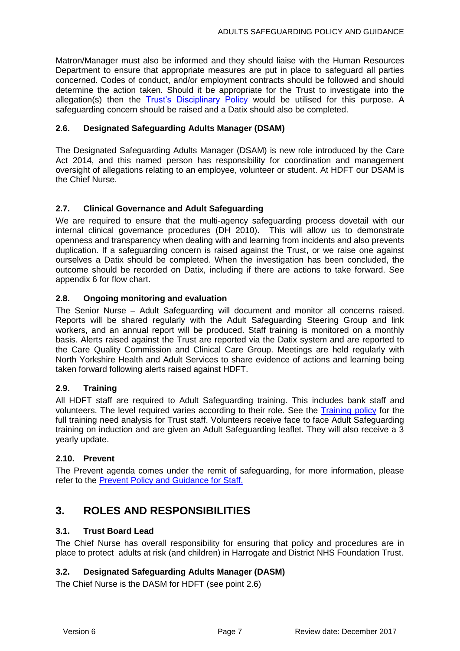Matron/Manager must also be informed and they should liaise with the Human Resources Department to ensure that appropriate measures are put in place to safeguard all parties concerned. Codes of conduct, and/or employment contracts should be followed and should determine the action taken. Should it be appropriate for the Trust to investigate into the allegation(s) then the [Trust's Disciplinary Policy](http://nww.hdft.nhs.uk/EasysiteWeb/getresource.axd?AssetID=1544&servicetype=Attachment) would be utilised for this purpose. A safeguarding concern should be raised and a Datix should also be completed.

### <span id="page-9-0"></span>**2.6. Designated Safeguarding Adults Manager (DSAM)**

The Designated Safeguarding Adults Manager (DSAM) is new role introduced by the Care Act 2014, and this named person has responsibility for coordination and management oversight of allegations relating to an employee, volunteer or student. At HDFT our DSAM is the Chief Nurse.

### <span id="page-9-1"></span>**2.7. Clinical Governance and Adult Safeguarding**

We are required to ensure that the multi-agency safeguarding process dovetail with our internal clinical governance procedures (DH 2010). This will allow us to demonstrate openness and transparency when dealing with and learning from incidents and also prevents duplication. If a safeguarding concern is raised against the Trust, or we raise one against ourselves a Datix should be completed. When the investigation has been concluded, the outcome should be recorded on Datix, including if there are actions to take forward. See appendix 6 for flow chart.

### <span id="page-9-2"></span>**2.8. Ongoing monitoring and evaluation**

The Senior Nurse – Adult Safeguarding will document and monitor all concerns raised. Reports will be shared regularly with the Adult Safeguarding Steering Group and link workers, and an annual report will be produced. Staff training is monitored on a monthly basis. Alerts raised against the Trust are reported via the Datix system and are reported to the Care Quality Commission and Clinical Care Group. Meetings are held regularly with North Yorkshire Health and Adult Services to share evidence of actions and learning being taken forward following alerts raised against HDFT.

### <span id="page-9-3"></span>**2.9. Training**

All HDFT staff are required to Adult Safeguarding training. This includes bank staff and volunteers. The level required varies according to their role. See the [Training policy](http://nww.hdft.nhs.uk/EasysiteWeb/getresource.axd?AssetID=14271&type=full&servicetype=Attachment) for the full training need analysis for Trust staff. Volunteers receive face to face Adult Safeguarding training on induction and are given an Adult Safeguarding leaflet. They will also receive a 3 yearly update.

### <span id="page-9-4"></span>**2.10. Prevent**

The Prevent agenda comes under the remit of safeguarding, for more information, please refer to the [Prevent Policy and Guidance for Staff.](http://nww.hdft.nhs.uk/EasysiteWeb/getresource.axd?AssetID=32961&type=full&servicetype=Attachment)

## <span id="page-9-5"></span>**3. ROLES AND RESPONSIBILITIES**

### <span id="page-9-6"></span>**3.1. Trust Board Lead**

The Chief Nurse has overall responsibility for ensuring that policy and procedures are in place to protect adults at risk (and children) in Harrogate and District NHS Foundation Trust.

### <span id="page-9-7"></span>**3.2. Designated Safeguarding Adults Manager (DASM)**

The Chief Nurse is the DASM for HDFT (see point 2.6)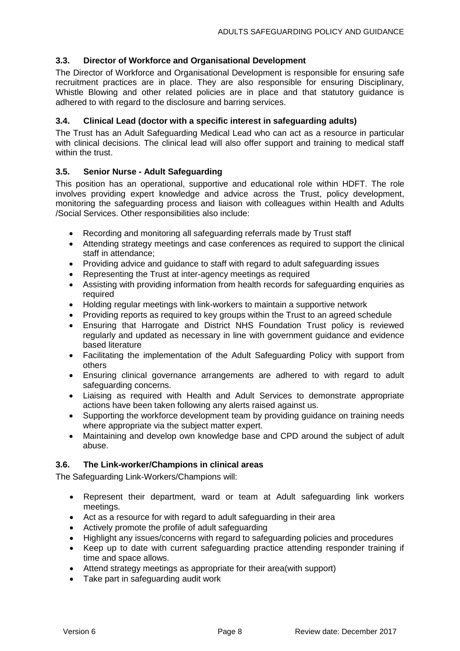### <span id="page-10-0"></span>**3.3. Director of Workforce and Organisational Development**

The Director of Workforce and Organisational Development is responsible for ensuring safe recruitment practices are in place. They are also responsible for ensuring Disciplinary, Whistle Blowing and other related policies are in place and that statutory guidance is adhered to with regard to the disclosure and barring services.

### <span id="page-10-1"></span>**3.4. Clinical Lead (doctor with a specific interest in safeguarding adults)**

The Trust has an Adult Safeguarding Medical Lead who can act as a resource in particular with clinical decisions. The clinical lead will also offer support and training to medical staff within the trust.

### <span id="page-10-2"></span>**3.5. Senior Nurse - Adult Safeguarding**

This position has an operational, supportive and educational role within HDFT. The role involves providing expert knowledge and advice across the Trust, policy development, monitoring the safeguarding process and liaison with colleagues within Health and Adults /Social Services. Other responsibilities also include:

- Recording and monitoring all safeguarding referrals made by Trust staff
- Attending strategy meetings and case conferences as required to support the clinical staff in attendance;
- Providing advice and guidance to staff with regard to adult safeguarding issues
- Representing the Trust at inter-agency meetings as required
- Assisting with providing information from health records for safeguarding enquiries as required
- Holding regular meetings with link-workers to maintain a supportive network
- Providing reports as required to key groups within the Trust to an agreed schedule
- Ensuring that Harrogate and District NHS Foundation Trust policy is reviewed regularly and updated as necessary in line with government guidance and evidence based literature
- Facilitating the implementation of the Adult Safeguarding Policy with support from others
- Ensuring clinical governance arrangements are adhered to with regard to adult safeguarding concerns.
- Liaising as required with Health and Adult Services to demonstrate appropriate actions have been taken following any alerts raised against us.
- Supporting the workforce development team by providing guidance on training needs where appropriate via the subject matter expert.
- Maintaining and develop own knowledge base and CPD around the subject of adult abuse.

### <span id="page-10-3"></span>**3.6. The Link-worker/Champions in clinical areas**

The Safeguarding Link-Workers/Champions will:

- Represent their department, ward or team at Adult safeguarding link workers meetings.
- Act as a resource for with regard to adult safeguarding in their area
- Actively promote the profile of adult safeguarding
- Highlight any issues/concerns with regard to safeguarding policies and procedures
- Keep up to date with current safeguarding practice attending responder training if time and space allows.
- Attend strategy meetings as appropriate for their area(with support)
- Take part in safeguarding audit work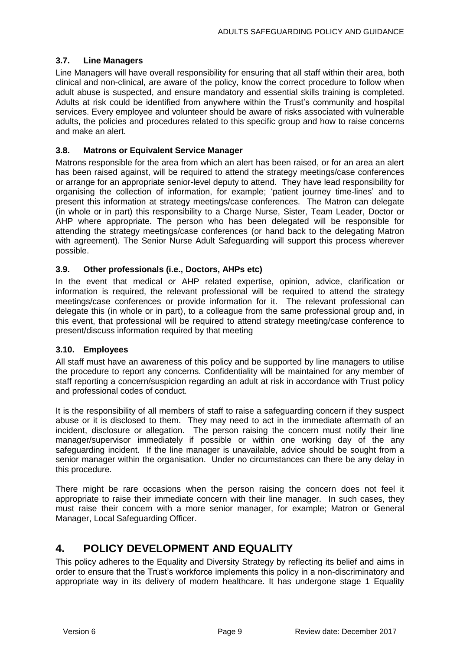### <span id="page-11-0"></span>**3.7. Line Managers**

Line Managers will have overall responsibility for ensuring that all staff within their area, both clinical and non-clinical, are aware of the policy, know the correct procedure to follow when adult abuse is suspected, and ensure mandatory and essential skills training is completed. Adults at risk could be identified from anywhere within the Trust's community and hospital services. Every employee and volunteer should be aware of risks associated with vulnerable adults, the policies and procedures related to this specific group and how to raise concerns and make an alert.

### <span id="page-11-1"></span>**3.8. Matrons or Equivalent Service Manager**

Matrons responsible for the area from which an alert has been raised, or for an area an alert has been raised against, will be required to attend the strategy meetings/case conferences or arrange for an appropriate senior-level deputy to attend. They have lead responsibility for organising the collection of information, for example; 'patient journey time-lines' and to present this information at strategy meetings/case conferences. The Matron can delegate (in whole or in part) this responsibility to a Charge Nurse, Sister, Team Leader, Doctor or AHP where appropriate. The person who has been delegated will be responsible for attending the strategy meetings/case conferences (or hand back to the delegating Matron with agreement). The Senior Nurse Adult Safeguarding will support this process wherever possible.

### <span id="page-11-2"></span>**3.9. Other professionals (i.e., Doctors, AHPs etc)**

In the event that medical or AHP related expertise, opinion, advice, clarification or information is required, the relevant professional will be required to attend the strategy meetings/case conferences or provide information for it. The relevant professional can delegate this (in whole or in part), to a colleague from the same professional group and, in this event, that professional will be required to attend strategy meeting/case conference to present/discuss information required by that meeting

### <span id="page-11-3"></span>**3.10. Employees**

All staff must have an awareness of this policy and be supported by line managers to utilise the procedure to report any concerns. Confidentiality will be maintained for any member of staff reporting a concern/suspicion regarding an adult at risk in accordance with Trust policy and professional codes of conduct.

It is the responsibility of all members of staff to raise a safeguarding concern if they suspect abuse or it is disclosed to them. They may need to act in the immediate aftermath of an incident, disclosure or allegation. The person raising the concern must notify their line manager/supervisor immediately if possible or within one working day of the any safeguarding incident. If the line manager is unavailable, advice should be sought from a senior manager within the organisation. Under no circumstances can there be any delay in this procedure.

There might be rare occasions when the person raising the concern does not feel it appropriate to raise their immediate concern with their line manager. In such cases, they must raise their concern with a more senior manager, for example; Matron or General Manager, Local Safeguarding Officer.

# <span id="page-11-4"></span>**4. POLICY DEVELOPMENT AND EQUALITY**

This policy adheres to the Equality and Diversity Strategy by reflecting its belief and aims in order to ensure that the Trust's workforce implements this policy in a non-discriminatory and appropriate way in its delivery of modern healthcare. It has undergone stage 1 Equality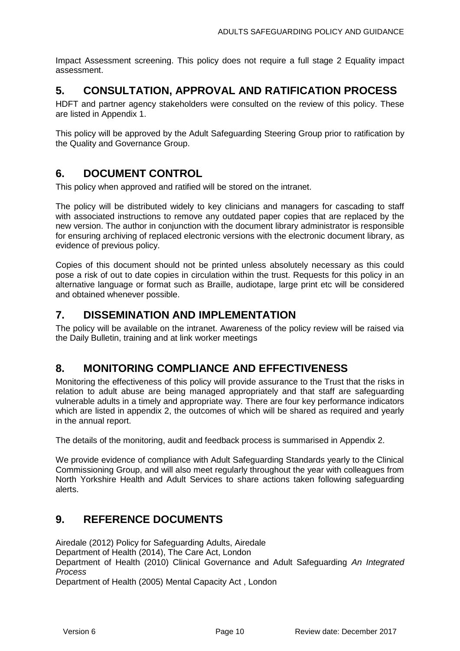Impact Assessment screening. This policy does not require a full stage 2 Equality impact assessment.

# <span id="page-12-0"></span>**5. CONSULTATION, APPROVAL AND RATIFICATION PROCESS**

HDFT and partner agency stakeholders were consulted on the review of this policy. These are listed in Appendix 1.

This policy will be approved by the Adult Safeguarding Steering Group prior to ratification by the Quality and Governance Group.

## <span id="page-12-1"></span>**6. DOCUMENT CONTROL**

This policy when approved and ratified will be stored on the intranet.

The policy will be distributed widely to key clinicians and managers for cascading to staff with associated instructions to remove any outdated paper copies that are replaced by the new version. The author in conjunction with the document library administrator is responsible for ensuring archiving of replaced electronic versions with the electronic document library, as evidence of previous policy.

Copies of this document should not be printed unless absolutely necessary as this could pose a risk of out to date copies in circulation within the trust. Requests for this policy in an alternative language or format such as Braille, audiotape, large print etc will be considered and obtained whenever possible.

## <span id="page-12-2"></span>**7. DISSEMINATION AND IMPLEMENTATION**

The policy will be available on the intranet. Awareness of the policy review will be raised via the Daily Bulletin, training and at link worker meetings

## <span id="page-12-3"></span>**8. MONITORING COMPLIANCE AND EFFECTIVENESS**

Monitoring the effectiveness of this policy will provide assurance to the Trust that the risks in relation to adult abuse are being managed appropriately and that staff are safeguarding vulnerable adults in a timely and appropriate way. There are four key performance indicators which are listed in appendix 2, the outcomes of which will be shared as required and yearly in the annual report.

The details of the monitoring, audit and feedback process is summarised in Appendix 2.

We provide evidence of compliance with Adult Safeguarding Standards yearly to the Clinical Commissioning Group, and will also meet regularly throughout the year with colleagues from North Yorkshire Health and Adult Services to share actions taken following safeguarding alerts.

## <span id="page-12-4"></span>**9. REFERENCE DOCUMENTS**

Airedale (2012) Policy for Safeguarding Adults, Airedale Department of Health (2014), The Care Act, London Department of Health (2010) Clinical Governance and Adult Safeguarding *An Integrated Process* Department of Health (2005) Mental Capacity Act , London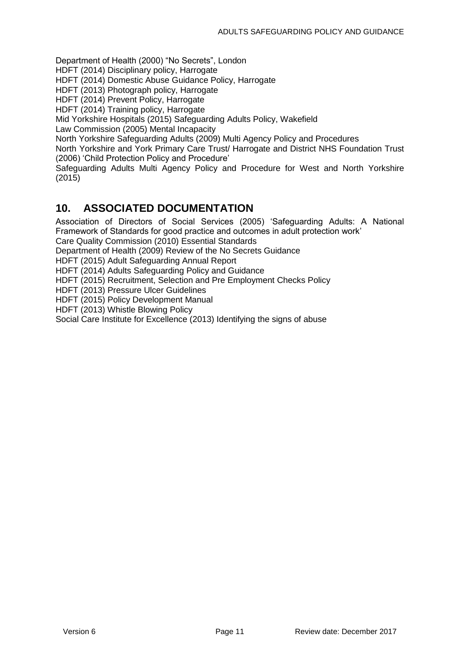Department of Health (2000) "No Secrets", London

HDFT (2014) Disciplinary policy, Harrogate

HDFT (2014) Domestic Abuse Guidance Policy, Harrogate

HDFT (2013) Photograph policy, Harrogate

HDFT (2014) Prevent Policy, Harrogate

HDFT (2014) Training policy, Harrogate

Mid Yorkshire Hospitals (2015) Safeguarding Adults Policy, Wakefield

Law Commission (2005) Mental Incapacity

North Yorkshire Safeguarding Adults (2009) Multi Agency Policy and Procedures

North Yorkshire and York Primary Care Trust/ Harrogate and District NHS Foundation Trust (2006) 'Child Protection Policy and Procedure'

Safeguarding Adults Multi Agency Policy and Procedure for West and North Yorkshire (2015)

## <span id="page-13-0"></span>**10. ASSOCIATED DOCUMENTATION**

Association of Directors of Social Services (2005) 'Safeguarding Adults: A National Framework of Standards for good practice and outcomes in adult protection work'

Care Quality Commission (2010) Essential Standards

Department of Health (2009) Review of the No Secrets Guidance

HDFT (2015) Adult Safeguarding Annual Report

HDFT (2014) Adults Safeguarding Policy and Guidance

HDFT (2015) Recruitment, Selection and Pre Employment Checks Policy

HDFT (2013) Pressure Ulcer Guidelines

HDFT (2015) Policy Development Manual

HDFT (2013) Whistle Blowing Policy

Social Care Institute for Excellence (2013) Identifying the signs of abuse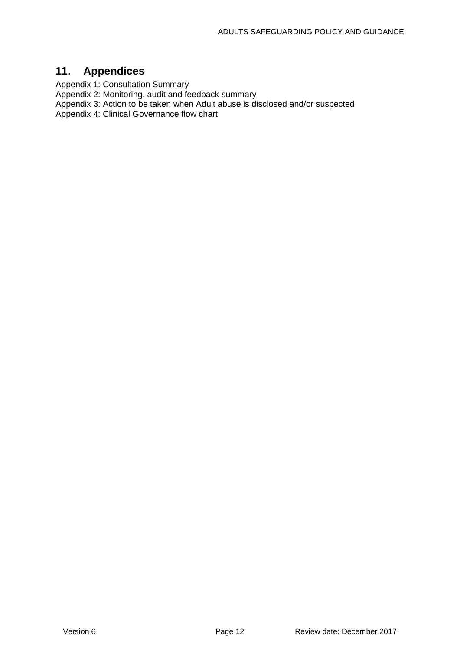# <span id="page-14-0"></span>**11. Appendices**

Appendix 1: Consultation Summary

Appendix 2: Monitoring, audit and feedback summary

Appendix 3: Action to be taken when Adult abuse is disclosed and/or suspected

Appendix 4: Clinical Governance flow chart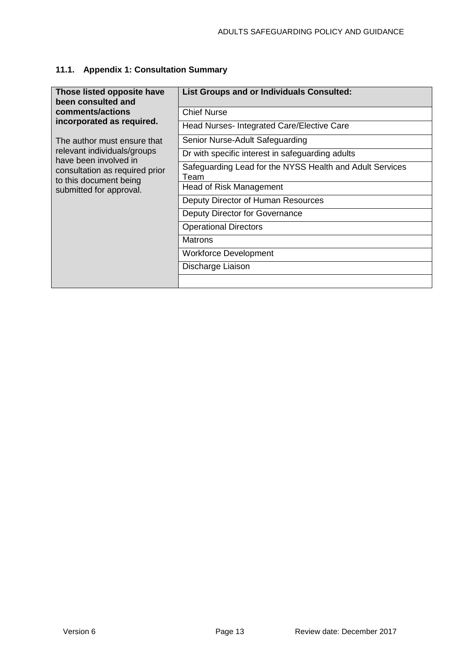# <span id="page-15-0"></span>**11.1. Appendix 1: Consultation Summary**

| Those listed opposite have<br>been consulted and         | <b>List Groups and or Individuals Consulted:</b>                 |  |  |
|----------------------------------------------------------|------------------------------------------------------------------|--|--|
| comments/actions                                         | Chief Nurse                                                      |  |  |
| incorporated as required.                                | Head Nurses- Integrated Care/Elective Care                       |  |  |
| The author must ensure that                              | Senior Nurse-Adult Safeguarding                                  |  |  |
| relevant individuals/groups<br>have been involved in     | Dr with specific interest in safeguarding adults                 |  |  |
| consultation as required prior<br>to this document being | Safeguarding Lead for the NYSS Health and Adult Services<br>Team |  |  |
| submitted for approval.                                  | Head of Risk Management                                          |  |  |
|                                                          | Deputy Director of Human Resources                               |  |  |
|                                                          | Deputy Director for Governance                                   |  |  |
|                                                          | <b>Operational Directors</b>                                     |  |  |
|                                                          | <b>Matrons</b>                                                   |  |  |
|                                                          | <b>Workforce Development</b>                                     |  |  |
|                                                          | Discharge Liaison                                                |  |  |
|                                                          |                                                                  |  |  |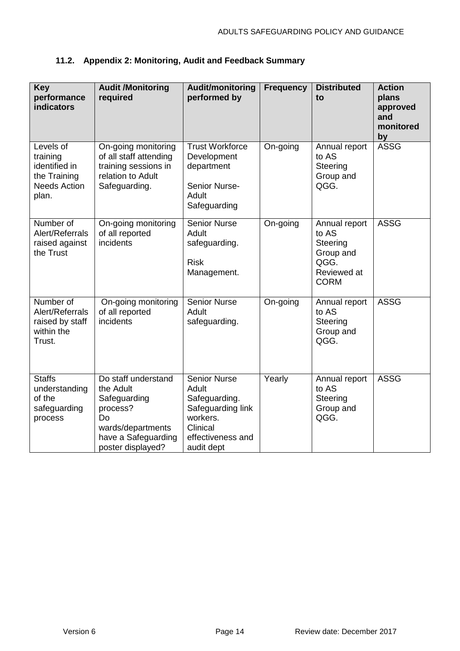## <span id="page-16-0"></span>**11.2. Appendix 2: Monitoring, Audit and Feedback Summary**

<span id="page-16-1"></span>

| <b>Key</b><br>performance<br><b>indicators</b>                                         | <b>Audit /Monitoring</b><br>required                                                                                                | Audit/monitoring<br>performed by                                                                                              | <b>Frequency</b> | <b>Distributed</b><br>to                                                              | <b>Action</b><br>plans<br>approved<br>and<br>monitored<br>by |
|----------------------------------------------------------------------------------------|-------------------------------------------------------------------------------------------------------------------------------------|-------------------------------------------------------------------------------------------------------------------------------|------------------|---------------------------------------------------------------------------------------|--------------------------------------------------------------|
| Levels of<br>training<br>identified in<br>the Training<br><b>Needs Action</b><br>plan. | On-going monitoring<br>of all staff attending<br>training sessions in<br>relation to Adult<br>Safeguarding.                         | <b>Trust Workforce</b><br>Development<br>department<br>Senior Nurse-<br>Adult<br>Safeguarding                                 | On-going         | Annual report<br>to AS<br>Steering<br>Group and<br>QGG.                               | <b>ASSG</b>                                                  |
| Number of<br>Alert/Referrals<br>raised against<br>the Trust                            | On-going monitoring<br>of all reported<br>incidents                                                                                 | <b>Senior Nurse</b><br>Adult<br>safeguarding.<br><b>Risk</b><br>Management.                                                   | On-going         | Annual report<br>to AS<br>Steering<br>Group and<br>QGG.<br>Reviewed at<br><b>CORM</b> | <b>ASSG</b>                                                  |
| Number of<br>Alert/Referrals<br>raised by staff<br>within the<br>Trust.                | On-going monitoring<br>of all reported<br>incidents                                                                                 | <b>Senior Nurse</b><br>Adult<br>safeguarding.                                                                                 | On-going         | Annual report<br>to AS<br>Steering<br>Group and<br>QGG.                               | <b>ASSG</b>                                                  |
| <b>Staffs</b><br>understanding<br>of the<br>safeguarding<br>process                    | Do staff understand<br>the Adult<br>Safeguarding<br>process?<br>Do<br>wards/departments<br>have a Safeguarding<br>poster displayed? | <b>Senior Nurse</b><br>Adult<br>Safeguarding.<br>Safeguarding link<br>workers.<br>Clinical<br>effectiveness and<br>audit dept | Yearly           | Annual report<br>to AS<br>Steering<br>Group and<br>QGG.                               | <b>ASSG</b>                                                  |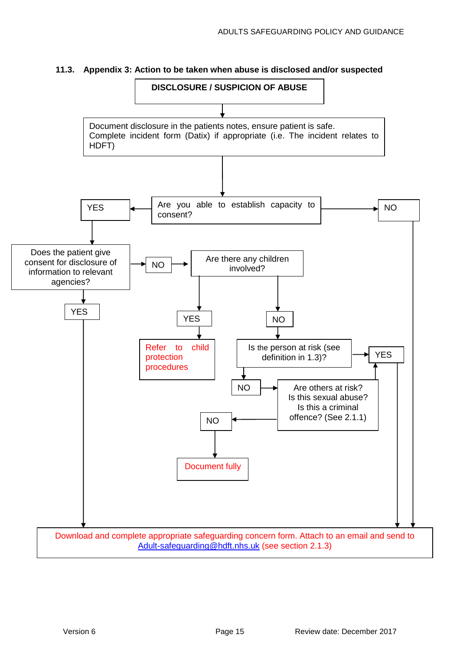

### <span id="page-17-0"></span>**11.3. Appendix 3: Action to be taken when abuse is disclosed and/or suspected**